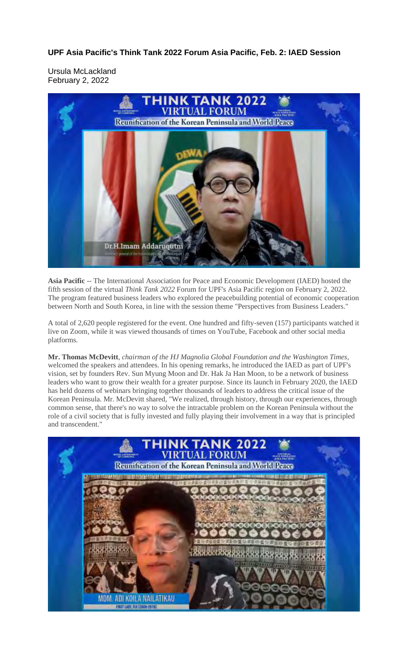**UPF Asia Pacific's Think Tank 2022 Forum Asia Pacific, Feb. 2: IAED Session**

Ursula McLackland February 2, 2022



**Asia Pacific** -- The International Association for Peace and Economic Development (IAED) hosted the fifth session of the virtual *Think Tank 2022* Forum for UPF's Asia Pacific region on February 2, 2022. The program featured business leaders who explored the peacebuilding potential of economic cooperation between North and South Korea, in line with the session theme "Perspectives from Business Leaders."

A total of 2,620 people registered for the event. One hundred and fifty-seven (157) participants watched it live on Zoom, while it was viewed thousands of times on YouTube, Facebook and other social media platforms.

**Mr. Thomas McDevitt**, *chairman of the HJ Magnolia Global Foundation and the Washington Times*, welcomed the speakers and attendees. In his opening remarks, he introduced the IAED as part of UPF's vision, set by founders Rev. Sun Myung Moon and Dr. Hak Ja Han Moon, to be a network of business leaders who want to grow their wealth for a greater purpose. Since its launch in February 2020, the IAED has held dozens of webinars bringing together thousands of leaders to address the critical issue of the Korean Peninsula. Mr. McDevitt shared, "We realized, through history, through our experiences, through common sense, that there's no way to solve the intractable problem on the Korean Peninsula without the role of a civil society that is fully invested and fully playing their involvement in a way that is principled and transcendent."